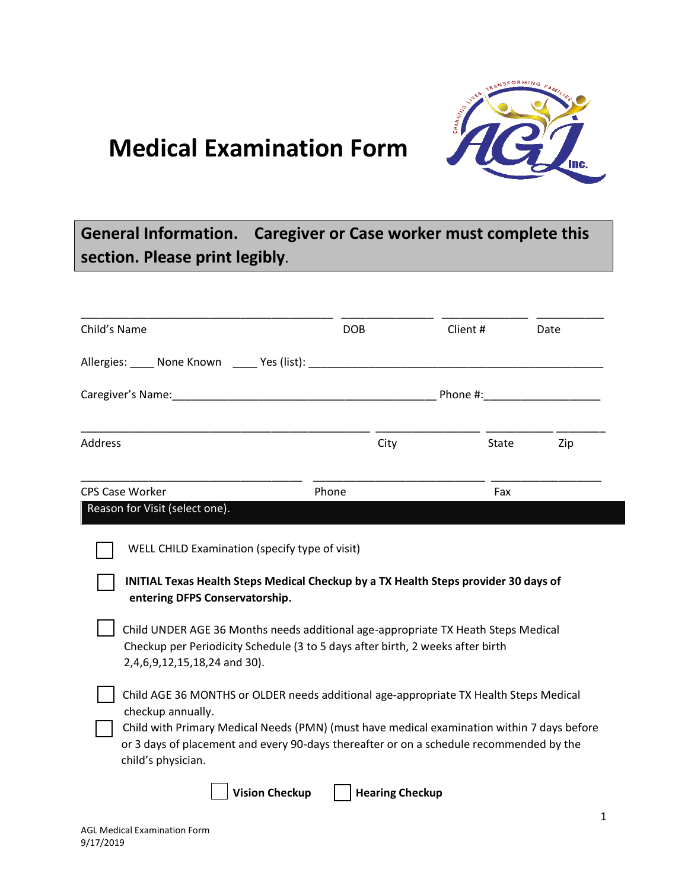

## **Medical Examination Form**

## **General Information. Caregiver or Case worker must complete this section. Please print legibly.**

| Child's Name                                                                                                                                                                                                                   | <b>DOB</b>                                                                                                                                                                            | Client # | Date |
|--------------------------------------------------------------------------------------------------------------------------------------------------------------------------------------------------------------------------------|---------------------------------------------------------------------------------------------------------------------------------------------------------------------------------------|----------|------|
| Allergies: None Known Nes (list): None and the Contract of the Contract of the Contract of the Contract of the Contract of the Contract of the Contract of the Contract of the Contract of the Contract of the Contract of the |                                                                                                                                                                                       |          |      |
| Caregiver's Name: Name and Caregiver's Name and Caregiver's Name and Caregiver's Name and Caregiver's Name and Caregiver's Name and Caregiver's Name and Caregiver's Name and Caregiver's Name and Caregiver's Name and Caregi |                                                                                                                                                                                       |          |      |
| <b>Address</b>                                                                                                                                                                                                                 | City                                                                                                                                                                                  | State    | Zip  |
| <b>CPS Case Worker</b>                                                                                                                                                                                                         | Phone                                                                                                                                                                                 | Fax      |      |
| Reason for Visit (select one).                                                                                                                                                                                                 |                                                                                                                                                                                       |          |      |
| WELL CHILD Examination (specify type of visit)                                                                                                                                                                                 |                                                                                                                                                                                       |          |      |
| entering DFPS Conservatorship.                                                                                                                                                                                                 | INITIAL Texas Health Steps Medical Checkup by a TX Health Steps provider 30 days of                                                                                                   |          |      |
| 2,4,6,9,12,15,18,24 and 30).                                                                                                                                                                                                   | Child UNDER AGE 36 Months needs additional age-appropriate TX Heath Steps Medical<br>Checkup per Periodicity Schedule (3 to 5 days after birth, 2 weeks after birth                   |          |      |
| checkup annually.                                                                                                                                                                                                              | Child AGE 36 MONTHS or OLDER needs additional age-appropriate TX Health Steps Medical                                                                                                 |          |      |
| child's physician.                                                                                                                                                                                                             | Child with Primary Medical Needs (PMN) (must have medical examination within 7 days before<br>or 3 days of placement and every 90-days thereafter or on a schedule recommended by the |          |      |
|                                                                                                                                                                                                                                | <b>Vision Checkup</b><br><b>Hearing Checkup</b>                                                                                                                                       |          |      |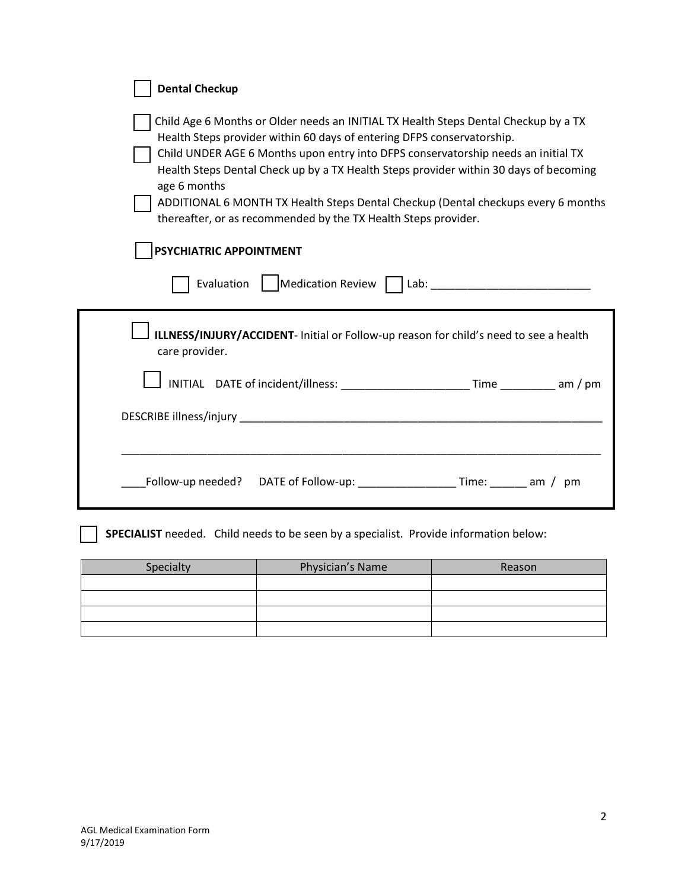| <b>Dental Checkup</b>                                                                                                                                                                                                                                                                                                                                                                                                                                                                                              |  |  |  |  |  |  |  |
|--------------------------------------------------------------------------------------------------------------------------------------------------------------------------------------------------------------------------------------------------------------------------------------------------------------------------------------------------------------------------------------------------------------------------------------------------------------------------------------------------------------------|--|--|--|--|--|--|--|
| Child Age 6 Months or Older needs an INITIAL TX Health Steps Dental Checkup by a TX<br>Health Steps provider within 60 days of entering DFPS conservatorship.<br>Child UNDER AGE 6 Months upon entry into DFPS conservatorship needs an initial TX<br>Health Steps Dental Check up by a TX Health Steps provider within 30 days of becoming<br>age 6 months<br>ADDITIONAL 6 MONTH TX Health Steps Dental Checkup (Dental checkups every 6 months<br>thereafter, or as recommended by the TX Health Steps provider. |  |  |  |  |  |  |  |
| PSYCHIATRIC APPOINTMENT                                                                                                                                                                                                                                                                                                                                                                                                                                                                                            |  |  |  |  |  |  |  |
| Medication Review Lab: Lab:<br>Evaluation                                                                                                                                                                                                                                                                                                                                                                                                                                                                          |  |  |  |  |  |  |  |
| ILLNESS/INJURY/ACCIDENT- Initial or Follow-up reason for child's need to see a health<br>care provider.                                                                                                                                                                                                                                                                                                                                                                                                            |  |  |  |  |  |  |  |
| INITIAL DATE of incident/illness: __________________________Time ___________ am / pm                                                                                                                                                                                                                                                                                                                                                                                                                               |  |  |  |  |  |  |  |
|                                                                                                                                                                                                                                                                                                                                                                                                                                                                                                                    |  |  |  |  |  |  |  |
|                                                                                                                                                                                                                                                                                                                                                                                                                                                                                                                    |  |  |  |  |  |  |  |
| Follow-up needed? DATE of Follow-up: __________________Time: _______ am / pm                                                                                                                                                                                                                                                                                                                                                                                                                                       |  |  |  |  |  |  |  |
| SPECIALIST needed. Child needs to be seen by a specialist. Provide information below:                                                                                                                                                                                                                                                                                                                                                                                                                              |  |  |  |  |  |  |  |
| Physician's Name<br>Specialty<br>Reason                                                                                                                                                                                                                                                                                                                                                                                                                                                                            |  |  |  |  |  |  |  |
|                                                                                                                                                                                                                                                                                                                                                                                                                                                                                                                    |  |  |  |  |  |  |  |
|                                                                                                                                                                                                                                                                                                                                                                                                                                                                                                                    |  |  |  |  |  |  |  |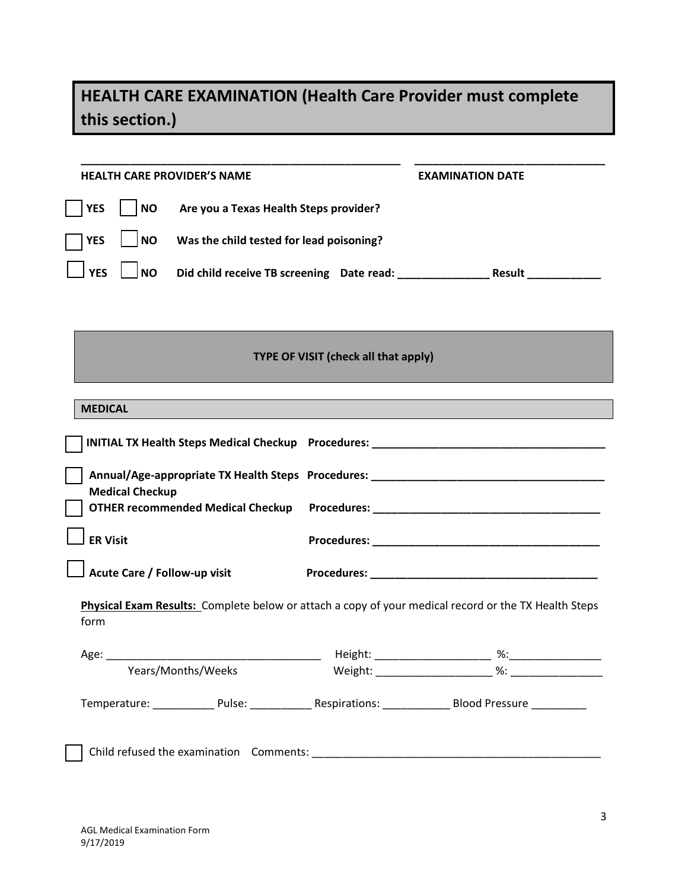## **HEALTH CARE EXAMINATION (Health Care Provider must complete this section.)**

| <b>HEALTH CARE PROVIDER'S NAME</b>                                                                           |                                                         | <b>EXAMINATION DATE</b> |  |  |  |  |  |  |  |
|--------------------------------------------------------------------------------------------------------------|---------------------------------------------------------|-------------------------|--|--|--|--|--|--|--|
| <b>YES</b><br><b>NO</b><br>Are you a Texas Health Steps provider?                                            |                                                         |                         |  |  |  |  |  |  |  |
| <b>NO</b><br>Was the child tested for lead poisoning?<br><b>YES</b>                                          |                                                         |                         |  |  |  |  |  |  |  |
| <b>YES</b><br><b>NO</b>                                                                                      | Did child receive TB screening Date read: Result Result |                         |  |  |  |  |  |  |  |
|                                                                                                              |                                                         |                         |  |  |  |  |  |  |  |
| <b>TYPE OF VISIT (check all that apply)</b>                                                                  |                                                         |                         |  |  |  |  |  |  |  |
|                                                                                                              |                                                         |                         |  |  |  |  |  |  |  |
| <b>MEDICAL</b>                                                                                               |                                                         |                         |  |  |  |  |  |  |  |
|                                                                                                              |                                                         |                         |  |  |  |  |  |  |  |
| <b>Medical Checkup</b>                                                                                       |                                                         |                         |  |  |  |  |  |  |  |
| OTHER recommended Medical Checkup Procedures: __________________________________                             |                                                         |                         |  |  |  |  |  |  |  |
| <b>ER Visit</b>                                                                                              |                                                         |                         |  |  |  |  |  |  |  |
| Acute Care / Follow-up visit                                                                                 |                                                         |                         |  |  |  |  |  |  |  |
| Physical Exam Results: Complete below or attach a copy of your medical record or the TX Health Steps<br>form |                                                         |                         |  |  |  |  |  |  |  |
| Age:                                                                                                         | Height: __<br>and the control of                        | %∶                      |  |  |  |  |  |  |  |
| Years/Months/Weeks                                                                                           |                                                         |                         |  |  |  |  |  |  |  |
|                                                                                                              |                                                         |                         |  |  |  |  |  |  |  |
|                                                                                                              |                                                         |                         |  |  |  |  |  |  |  |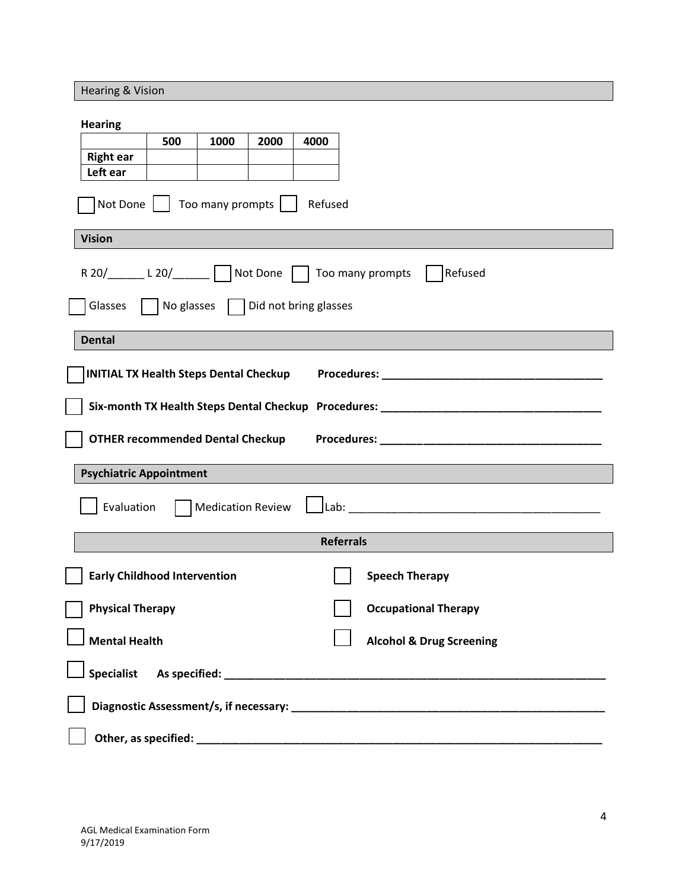Hearing & Vision **Hearing 500 1000 2000 4000 Right ear Left ear**  $\sqrt{\phantom{a}}$  Not Done  $\sqrt{\phantom{a}}$  Too many prompts  $\sqrt{\phantom{a}}$  Refused **Vision** R 20/\_\_\_\_\_\_ L 20/\_\_\_\_\_\_ Not Done T Too many prompts T Refused  $\Box$  Glasses  $\Box$  No glasses  $\Box$  Did not bring glasses **Dental INITIAL TX Health Steps Dental Checkup Procedures: \_\_\_\_\_\_\_\_\_\_\_\_\_\_\_\_\_\_\_\_\_\_\_\_\_\_\_\_\_\_\_\_\_\_\_\_ Six-month TX Health Steps Dental Checkup Procedures: \_\_\_\_\_\_\_\_\_\_\_\_\_\_\_\_\_\_\_\_\_\_\_\_\_\_\_\_\_\_\_\_\_\_\_\_ OTHER recommended Dental Checkup Procedures: We are all the commended Dental Checkup** Procedures: **Psychiatric Appointment**  $\textsf{\small Evaluation} \quad \textcolor{red}{\bigcap}$  Medication Review  $\textcolor{red}{\bigcup}$  Lab: **Referrals Early Childhood Intervention Speech Therapy Speech Therapy Physical Therapy Community Community Physical Therapy Mental Health Mental Health Alcohol & Drug Screening Specialist As specified: \_\_\_\_\_\_\_\_\_\_\_\_\_\_\_\_\_\_\_\_\_\_\_\_\_\_\_\_\_\_\_\_\_\_\_\_\_\_\_\_\_\_\_\_\_\_\_\_\_\_\_\_\_\_\_\_\_\_\_\_\_\_ Diagnostic Assessment/s, if necessary: \_\_\_\_\_\_\_\_\_\_\_\_\_\_\_\_\_\_\_\_\_\_\_\_\_\_\_\_\_\_\_\_\_\_\_\_\_\_\_\_\_\_\_\_\_\_\_\_\_\_\_ Other, as specified: \_\_\_\_\_\_\_\_\_\_\_\_\_\_\_\_\_\_\_\_\_\_\_\_\_\_\_\_\_\_\_\_\_\_\_\_\_\_\_\_\_\_\_\_\_\_\_\_\_\_\_\_\_\_\_\_\_\_\_\_\_\_\_\_\_\_**